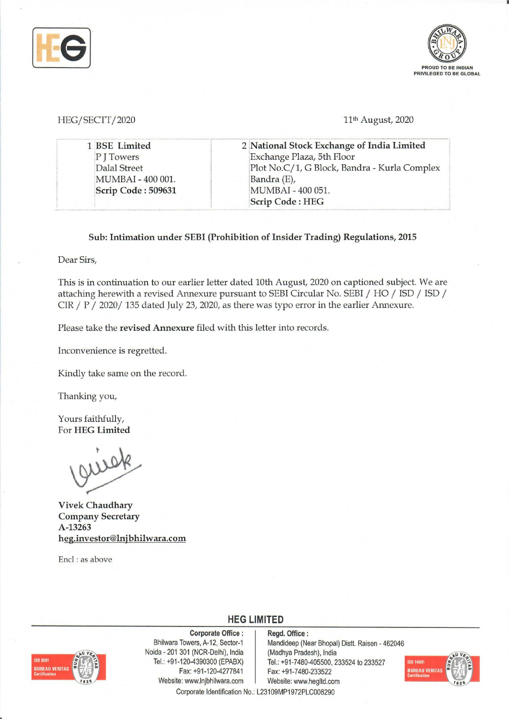



HEG/SECTT/2020 **11<sup>th</sup>** August, 2020

| 1 BSE Limited      | 2 National Stock Exchange of India Limited   |
|--------------------|----------------------------------------------|
| P J Towers         | Exchange Plaza, 5th Floor                    |
| Dalal Street       | Plot No.C/1, G Block, Bandra - Kurla Complex |
| MUMBAI - 400 001.  | Bandra (E),                                  |
| Scrip Code: 509631 | MUMBAI - 400 051.                            |
|                    | <b>Scrip Code: HEG</b>                       |

#### Sub: Intimation under SEBI (Prohibition of Insider Trading) Regulations, 2015

Dear Sirs,

This is in continuation to our earlier letter dated 10th August, 2020 on captioned subject. We are attaching herewith a revised Annexure pursuant to SEBI Circular No. SEBI *I* HO *I* ISD *I* ISD *I*  CIR / P / 2020/ 135 dated July 23, 2020, as there was typo error in the earlier Annexure.

Please take the revised Annexure filed with this letter into records.

Inconvenience is regretted.

Kindly take same on the record.

Thanking you,

Yours faithfully, For HEG Limited

guisk

Vivek Chaudhary Company Secretary A-13263 heg.investor@lnjbhilwara.com

Encl: as above



Corporate Office: Bhilwara Towers, A-12, Sector-1 Noida - 201 301 (NCR-Delhi), India Tel.: +91-120-4390300 (EPABX) Fax: +91-120-4277841 Website: www.lnjbhilwara.com | Website: www.hegltd.com

Regd. Office: Mandideep (Near Bhopal) Distt. Raisen - 462046 (Madhya Pradesh), India Tel.: +91-7480-405500, 233524 to 233527 Fax: +91-7480-233522



Corporate Identification No.: L23109MP1972PLC008290

**HEG LIMITED**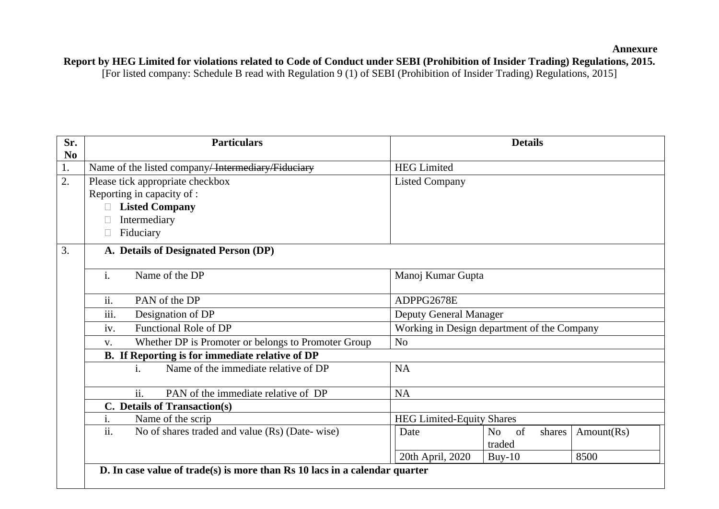**Annexure** 

# **Report by HEG Limited for violations related to Code of Conduct under SEBI (Prohibition of Insider Trading) Regulations, 2015.**

| Sr.                    | <b>Particulars</b>                                                           | <b>Details</b>                              |  |
|------------------------|------------------------------------------------------------------------------|---------------------------------------------|--|
| $\mathbf{N}\mathbf{0}$ |                                                                              |                                             |  |
| 1.                     | Name of the listed company/ <del>Intermediary/Fiduciary</del>                | <b>HEG Limited</b>                          |  |
| 2.                     | Please tick appropriate checkbox                                             | <b>Listed Company</b>                       |  |
|                        | Reporting in capacity of :                                                   |                                             |  |
|                        | <b>Listed Company</b>                                                        |                                             |  |
|                        | Intermediary                                                                 |                                             |  |
|                        | Fiduciary<br>$\Box$                                                          |                                             |  |
| 3.                     | A. Details of Designated Person (DP)                                         |                                             |  |
|                        |                                                                              |                                             |  |
|                        | $\mathbf{i}$ .<br>Name of the DP                                             | Manoj Kumar Gupta                           |  |
|                        | ii.<br>PAN of the DP                                                         | ADPPG2678E                                  |  |
|                        | iii.<br>Designation of DP                                                    | <b>Deputy General Manager</b>               |  |
|                        | Functional Role of DP<br>iv.                                                 | Working in Design department of the Company |  |
|                        | Whether DP is Promoter or belongs to Promoter Group<br>$V_{\bullet}$         | N <sub>o</sub>                              |  |
|                        | B. If Reporting is for immediate relative of DP                              |                                             |  |
|                        | Name of the immediate relative of DP<br>$i$ .                                | <b>NA</b>                                   |  |
|                        |                                                                              |                                             |  |
|                        | ii.<br>PAN of the immediate relative of DP                                   | <b>NA</b>                                   |  |
|                        | C. Details of Transaction(s)                                                 |                                             |  |
|                        | i.<br>Name of the scrip                                                      | <b>HEG Limited-Equity Shares</b>            |  |
|                        | $\overline{ii}$ .<br>No of shares traded and value (Rs) (Date-wise)          | of<br>Amount(Rs)<br>Date<br>No<br>shares    |  |
|                        |                                                                              | traded                                      |  |
|                        |                                                                              | 20th April, 2020<br>8500<br>$Buy-10$        |  |
|                        | D. In case value of $trade(s)$ is more than Rs 10 lacs in a calendar quarter |                                             |  |
|                        |                                                                              |                                             |  |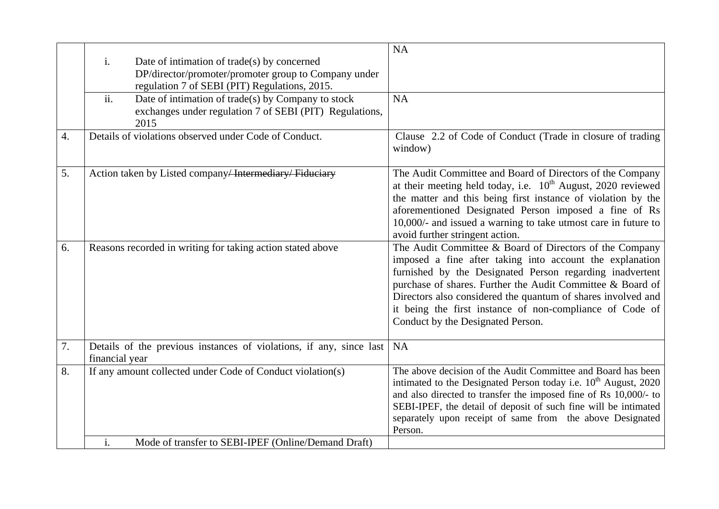|    |                |                                                                     | <b>NA</b>                                                                   |
|----|----------------|---------------------------------------------------------------------|-----------------------------------------------------------------------------|
|    | i.             | Date of intimation of trade(s) by concerned                         |                                                                             |
|    |                | DP/director/promoter/promoter group to Company under                |                                                                             |
|    |                | regulation 7 of SEBI (PIT) Regulations, 2015.                       |                                                                             |
|    | ii.            | Date of intimation of trade(s) by Company to stock                  | <b>NA</b>                                                                   |
|    |                | exchanges under regulation 7 of SEBI (PIT) Regulations,             |                                                                             |
|    |                | 2015                                                                |                                                                             |
| 4. |                | Details of violations observed under Code of Conduct.               | Clause 2.2 of Code of Conduct (Trade in closure of trading                  |
|    |                |                                                                     | window)                                                                     |
|    |                |                                                                     |                                                                             |
| 5. |                | Action taken by Listed company/Intermediary/Fiduciary               | The Audit Committee and Board of Directors of the Company                   |
|    |                |                                                                     | at their meeting held today, i.e. $10^{th}$ August, 2020 reviewed           |
|    |                |                                                                     | the matter and this being first instance of violation by the                |
|    |                |                                                                     | aforementioned Designated Person imposed a fine of Rs                       |
|    |                |                                                                     | 10,000/- and issued a warning to take utmost care in future to              |
|    |                |                                                                     | avoid further stringent action.                                             |
| 6. |                | Reasons recorded in writing for taking action stated above          | The Audit Committee & Board of Directors of the Company                     |
|    |                |                                                                     | imposed a fine after taking into account the explanation                    |
|    |                |                                                                     | furnished by the Designated Person regarding inadvertent                    |
|    |                |                                                                     | purchase of shares. Further the Audit Committee & Board of                  |
|    |                |                                                                     | Directors also considered the quantum of shares involved and                |
|    |                |                                                                     | it being the first instance of non-compliance of Code of                    |
|    |                |                                                                     | Conduct by the Designated Person.                                           |
|    |                |                                                                     |                                                                             |
| 7. |                | Details of the previous instances of violations, if any, since last | <b>NA</b>                                                                   |
|    | financial year |                                                                     |                                                                             |
| 8. |                | If any amount collected under Code of Conduct violation(s)          | The above decision of the Audit Committee and Board has been                |
|    |                |                                                                     | intimated to the Designated Person today i.e. 10 <sup>th</sup> August, 2020 |
|    |                |                                                                     | and also directed to transfer the imposed fine of Rs 10,000/- to            |
|    |                |                                                                     | SEBI-IPEF, the detail of deposit of such fine will be intimated             |
|    |                |                                                                     | separately upon receipt of same from the above Designated                   |
|    |                |                                                                     | Person.                                                                     |
|    | i.             | Mode of transfer to SEBI-IPEF (Online/Demand Draft)                 |                                                                             |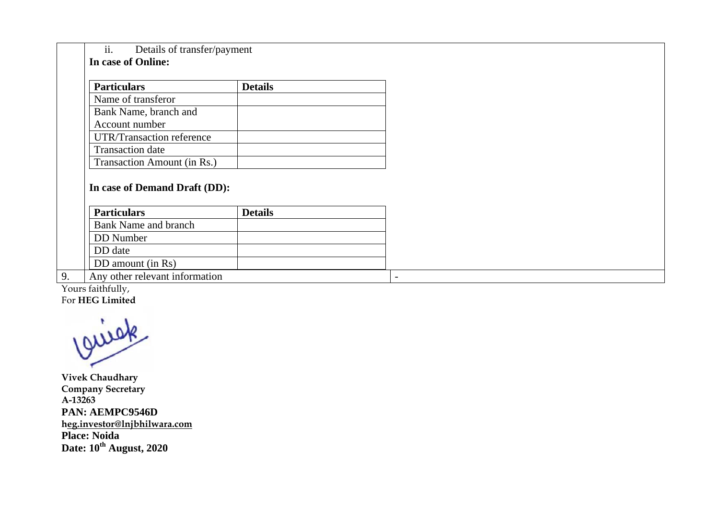ii. **In case of f Online:**  Details of transfer/payment

| <b>Particulars</b>          | <b>Details</b> |
|-----------------------------|----------------|
| Name of transferor          |                |
| Bank Name, branch and       |                |
| Account number              |                |
| UTR/Transaction reference   |                |
| <b>Transaction</b> date     |                |
| Transaction Amount (in Rs.) |                |

### **In case of Demand Draft (DD):**

| <b>Particulars</b>             | <b>Details</b> |  |
|--------------------------------|----------------|--|
| <b>Bank Name and branch</b>    |                |  |
| DD Number                      |                |  |
| DD date                        |                |  |
| DD amount (in Rs)              |                |  |
| Any other relevant information |                |  |

Y Yours faithfully, F For **HEG Limite d** 

**V Vivek Chaudhar ry C Company Secret tary A A-13263 P PAN: AEMPC9 9546D h heg.investor@ln njbhilwara.com P Place: Noida D Date: 10th Augu ust, 2020**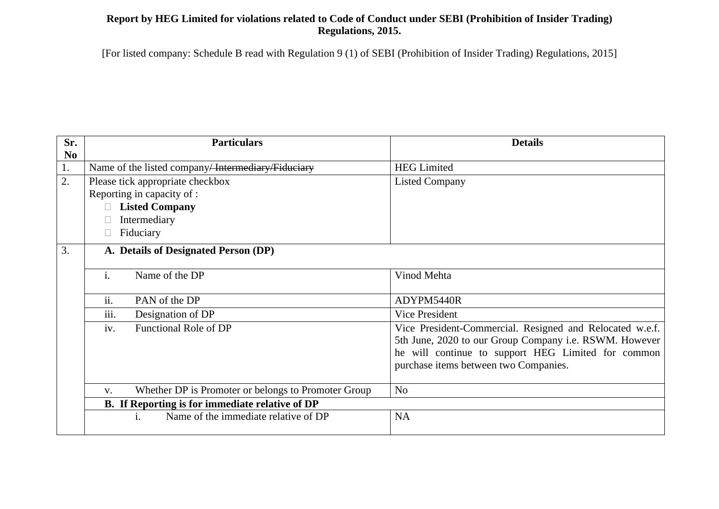## **Report by HEG Limited for violations related to Code of Conduct under SEBI (Prohibition of Insider Trading) Regulations, 2015.**

| Sr.      | <b>Particulars</b>                                                   | <b>Details</b>                                           |
|----------|----------------------------------------------------------------------|----------------------------------------------------------|
| $\bf No$ |                                                                      |                                                          |
| 1.       | Name of the listed company/ <del>Intermediary/Fiduciary</del>        | <b>HEG Limited</b>                                       |
| 2.       | Please tick appropriate checkbox                                     | <b>Listed Company</b>                                    |
|          | Reporting in capacity of :                                           |                                                          |
|          | <b>Listed Company</b>                                                |                                                          |
|          | Intermediary                                                         |                                                          |
|          | Fiduciary                                                            |                                                          |
| 3.       | A. Details of Designated Person (DP)                                 |                                                          |
|          |                                                                      |                                                          |
|          | i.<br>Name of the DP                                                 | Vinod Mehta                                              |
|          |                                                                      |                                                          |
|          | ii.<br>PAN of the DP                                                 | ADYPM5440R                                               |
|          | iii.<br>Designation of DP                                            | Vice President                                           |
|          | iv.<br>Functional Role of DP                                         | Vice President-Commercial. Resigned and Relocated w.e.f. |
|          |                                                                      | 5th June, 2020 to our Group Company i.e. RSWM. However   |
|          |                                                                      | he will continue to support HEG Limited for common       |
|          |                                                                      | purchase items between two Companies.                    |
|          |                                                                      |                                                          |
|          | Whether DP is Promoter or belongs to Promoter Group<br>$V_{\bullet}$ | N <sub>o</sub>                                           |
|          | B. If Reporting is for immediate relative of DP                      |                                                          |
|          | Name of the immediate relative of DP<br>i.                           | <b>NA</b>                                                |
|          |                                                                      |                                                          |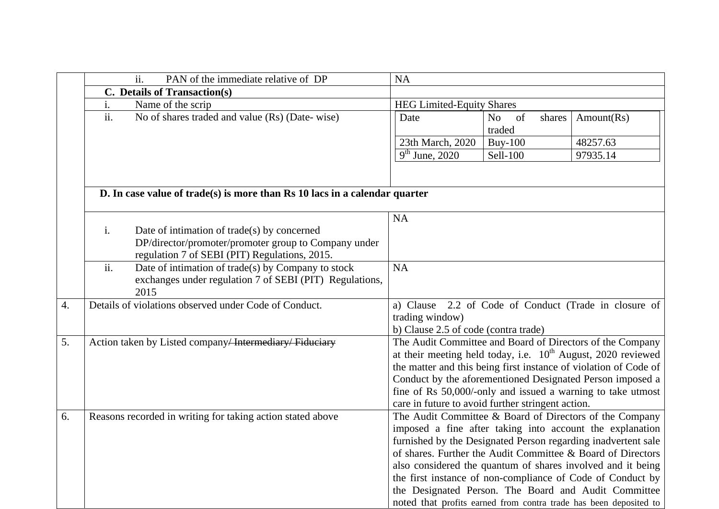|    | ii.<br>PAN of the immediate relative of DP                                                            | <b>NA</b>                                         |                                          |                                                                                                                                       |
|----|-------------------------------------------------------------------------------------------------------|---------------------------------------------------|------------------------------------------|---------------------------------------------------------------------------------------------------------------------------------------|
|    | C. Details of Transaction(s)                                                                          |                                                   |                                          |                                                                                                                                       |
|    | i.<br>Name of the scrip                                                                               | <b>HEG Limited-Equity Shares</b>                  |                                          |                                                                                                                                       |
|    | $\overline{ii}$ .<br>No of shares traded and value (Rs) (Date-wise)                                   | Date                                              | of<br>N <sub>o</sub><br>shares<br>traded | Amount(Rs)                                                                                                                            |
|    |                                                                                                       | 23th March, 2020                                  | <b>Buy-100</b>                           | 48257.63                                                                                                                              |
|    |                                                                                                       | $\overline{9^{th}$ June, 2020                     | Sell-100                                 | 97935.14                                                                                                                              |
|    |                                                                                                       |                                                   |                                          |                                                                                                                                       |
|    | D. In case value of trade(s) is more than Rs 10 lacs in a calendar quarter                            |                                                   |                                          |                                                                                                                                       |
|    |                                                                                                       | <b>NA</b>                                         |                                          |                                                                                                                                       |
|    | i.<br>Date of intimation of trade(s) by concerned                                                     |                                                   |                                          |                                                                                                                                       |
|    | DP/director/promoter/promoter group to Company under<br>regulation 7 of SEBI (PIT) Regulations, 2015. |                                                   |                                          |                                                                                                                                       |
|    | ii.<br>Date of intimation of trade(s) by Company to stock                                             | <b>NA</b>                                         |                                          |                                                                                                                                       |
|    | exchanges under regulation 7 of SEBI (PIT) Regulations,<br>2015                                       |                                                   |                                          |                                                                                                                                       |
| 4. | Details of violations observed under Code of Conduct.                                                 |                                                   |                                          | a) Clause 2.2 of Code of Conduct (Trade in closure of                                                                                 |
|    |                                                                                                       | trading window)                                   |                                          |                                                                                                                                       |
|    |                                                                                                       | b) Clause 2.5 of code (contra trade)              |                                          |                                                                                                                                       |
| 5. | Action taken by Listed company <del>Intermediary Fiduciary</del>                                      |                                                   |                                          | The Audit Committee and Board of Directors of the Company                                                                             |
|    |                                                                                                       |                                                   |                                          | at their meeting held today, i.e. $10^{th}$ August, 2020 reviewed<br>the matter and this being first instance of violation of Code of |
|    |                                                                                                       |                                                   |                                          | Conduct by the aforementioned Designated Person imposed a                                                                             |
|    |                                                                                                       |                                                   |                                          | fine of Rs 50,000/-only and issued a warning to take utmost                                                                           |
|    |                                                                                                       | care in future to avoid further stringent action. |                                          |                                                                                                                                       |
| 6. | Reasons recorded in writing for taking action stated above                                            |                                                   |                                          | The Audit Committee & Board of Directors of the Company                                                                               |
|    |                                                                                                       |                                                   |                                          | imposed a fine after taking into account the explanation                                                                              |
|    |                                                                                                       |                                                   |                                          | furnished by the Designated Person regarding inadvertent sale                                                                         |
|    |                                                                                                       |                                                   |                                          | of shares. Further the Audit Committee & Board of Directors                                                                           |
|    |                                                                                                       |                                                   |                                          | also considered the quantum of shares involved and it being                                                                           |
|    |                                                                                                       |                                                   |                                          | the first instance of non-compliance of Code of Conduct by                                                                            |
|    |                                                                                                       |                                                   |                                          | the Designated Person. The Board and Audit Committee                                                                                  |
|    |                                                                                                       |                                                   |                                          | noted that profits earned from contra trade has been deposited to                                                                     |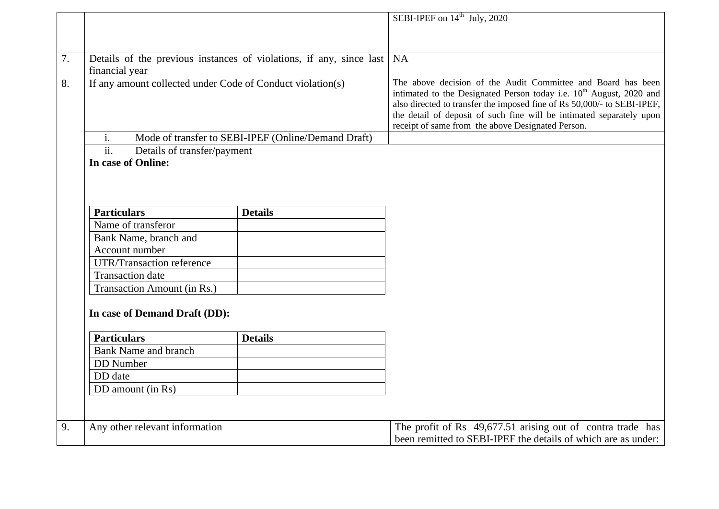|    |                                                            |                                                                     | SEBI-IPEF on 14 <sup>th</sup> July, 2020                                                                                                                                                                                                                                                                                                                |
|----|------------------------------------------------------------|---------------------------------------------------------------------|---------------------------------------------------------------------------------------------------------------------------------------------------------------------------------------------------------------------------------------------------------------------------------------------------------------------------------------------------------|
|    |                                                            |                                                                     |                                                                                                                                                                                                                                                                                                                                                         |
|    |                                                            |                                                                     |                                                                                                                                                                                                                                                                                                                                                         |
| 7. |                                                            | Details of the previous instances of violations, if any, since last | <b>NA</b>                                                                                                                                                                                                                                                                                                                                               |
|    | financial year                                             |                                                                     |                                                                                                                                                                                                                                                                                                                                                         |
| 8. | If any amount collected under Code of Conduct violation(s) |                                                                     | The above decision of the Audit Committee and Board has been<br>intimated to the Designated Person today i.e. 10 <sup>th</sup> August, 2020 and<br>also directed to transfer the imposed fine of Rs 50,000/- to SEBI-IPEF,<br>the detail of deposit of such fine will be intimated separately upon<br>receipt of same from the above Designated Person. |
|    | i.                                                         | Mode of transfer to SEBI-IPEF (Online/Demand Draft)                 |                                                                                                                                                                                                                                                                                                                                                         |
|    | $\overline{ii}$ .<br>Details of transfer/payment           |                                                                     |                                                                                                                                                                                                                                                                                                                                                         |
|    | In case of Online:                                         |                                                                     |                                                                                                                                                                                                                                                                                                                                                         |
|    |                                                            |                                                                     |                                                                                                                                                                                                                                                                                                                                                         |
|    |                                                            |                                                                     |                                                                                                                                                                                                                                                                                                                                                         |
|    |                                                            |                                                                     |                                                                                                                                                                                                                                                                                                                                                         |
|    | <b>Particulars</b>                                         | <b>Details</b>                                                      |                                                                                                                                                                                                                                                                                                                                                         |
|    | Name of transferor                                         |                                                                     |                                                                                                                                                                                                                                                                                                                                                         |
|    | Bank Name, branch and                                      |                                                                     |                                                                                                                                                                                                                                                                                                                                                         |
|    | Account number                                             |                                                                     |                                                                                                                                                                                                                                                                                                                                                         |
|    | <b>UTR/Transaction reference</b>                           |                                                                     |                                                                                                                                                                                                                                                                                                                                                         |
|    | <b>Transaction</b> date                                    |                                                                     |                                                                                                                                                                                                                                                                                                                                                         |
|    | Transaction Amount (in Rs.)                                |                                                                     |                                                                                                                                                                                                                                                                                                                                                         |
|    |                                                            |                                                                     |                                                                                                                                                                                                                                                                                                                                                         |
|    | In case of Demand Draft (DD):                              |                                                                     |                                                                                                                                                                                                                                                                                                                                                         |
|    |                                                            |                                                                     |                                                                                                                                                                                                                                                                                                                                                         |
|    | <b>Particulars</b>                                         | <b>Details</b>                                                      |                                                                                                                                                                                                                                                                                                                                                         |
|    | <b>Bank Name and branch</b>                                |                                                                     |                                                                                                                                                                                                                                                                                                                                                         |
|    | <b>DD</b> Number                                           |                                                                     |                                                                                                                                                                                                                                                                                                                                                         |
|    | DD date                                                    |                                                                     |                                                                                                                                                                                                                                                                                                                                                         |
|    | DD amount (in Rs)                                          |                                                                     |                                                                                                                                                                                                                                                                                                                                                         |
|    |                                                            |                                                                     |                                                                                                                                                                                                                                                                                                                                                         |
|    |                                                            |                                                                     |                                                                                                                                                                                                                                                                                                                                                         |
| 9. | Any other relevant information                             |                                                                     | The profit of Rs 49,677.51 arising out of contra trade has                                                                                                                                                                                                                                                                                              |
|    |                                                            |                                                                     | been remitted to SEBI-IPEF the details of which are as under:                                                                                                                                                                                                                                                                                           |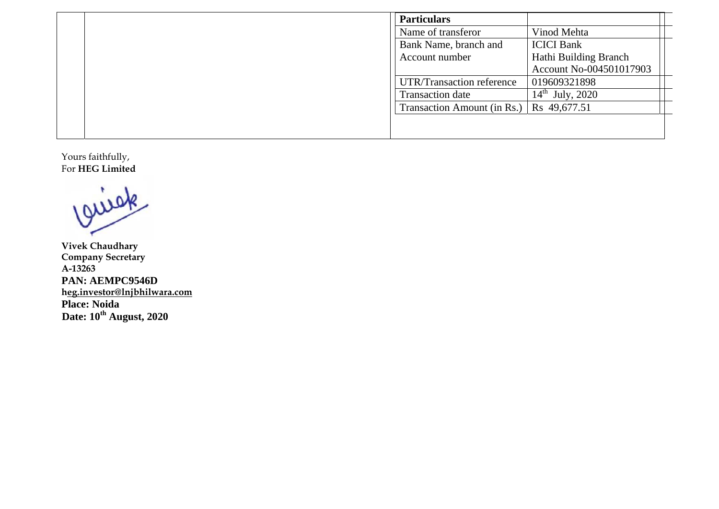|  | <b>Particulars</b>          |                             |
|--|-----------------------------|-----------------------------|
|  | Name of transferor          | Vinod Mehta                 |
|  | Bank Name, branch and       | <b>ICICI Bank</b>           |
|  | Account number              | Hathi Building Branch       |
|  |                             | Account No-004501017903     |
|  | UTR/Transaction reference   | 019609321898                |
|  | Transaction date            | $14^{\text{th}}$ July, 2020 |
|  | Transaction Amount (in Rs.) | $\log 49,677.51$            |
|  |                             |                             |
|  |                             |                             |

Y F Yours faithfully, For **HEG Limite d** 

**V Vivek Chaudhar ry C Company Secret tary A A-13263 P PAN: AEMPC9 9546D h heg.investor@ln njbhilwara.com P Place: Noida D Date: 10th Augu ust, 2020**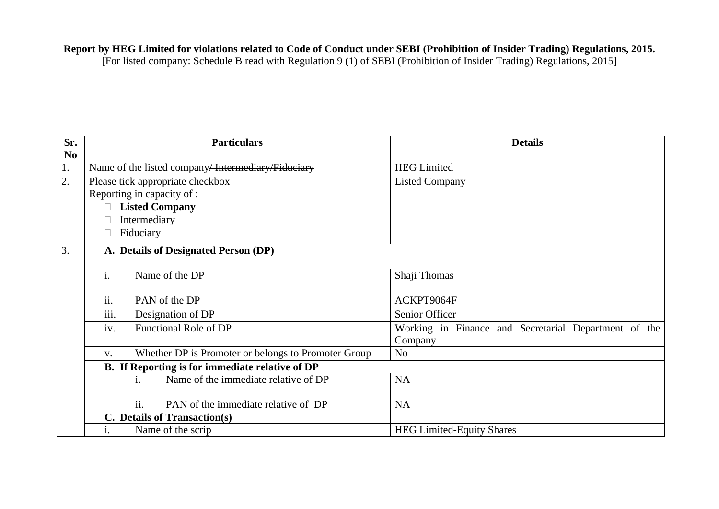### **Report by HEG Limited for violations related to Code of Conduct under SEBI (Prohibition of Insider Trading) Regulations, 2015.**

| Sr.            | <b>Particulars</b>                                                   | <b>Details</b>                                       |
|----------------|----------------------------------------------------------------------|------------------------------------------------------|
| N <sub>0</sub> |                                                                      |                                                      |
| 1.             | Name of the listed company <del>Intermediary Fiduciary</del>         | <b>HEG Limited</b>                                   |
| 2.             | Please tick appropriate checkbox                                     | <b>Listed Company</b>                                |
|                | Reporting in capacity of :                                           |                                                      |
|                | <b>Listed Company</b><br>$\Box$                                      |                                                      |
|                | Intermediary                                                         |                                                      |
|                | Fiduciary                                                            |                                                      |
| 3.             | A. Details of Designated Person (DP)                                 |                                                      |
|                |                                                                      |                                                      |
|                | Name of the DP<br>$\mathbf{1}$ .                                     | Shaji Thomas                                         |
|                |                                                                      |                                                      |
|                | ii.<br>PAN of the DP                                                 | ACKPT9064F                                           |
|                | iii.<br>Designation of DP                                            | Senior Officer                                       |
|                | Functional Role of DP<br>1V.                                         | Working in Finance and Secretarial Department of the |
|                |                                                                      | Company                                              |
|                | Whether DP is Promoter or belongs to Promoter Group<br>$V_{\bullet}$ | No                                                   |
|                | B. If Reporting is for immediate relative of DP                      |                                                      |
|                | Name of the immediate relative of DP<br>i.                           | <b>NA</b>                                            |
|                |                                                                      |                                                      |
|                | ii.<br>PAN of the immediate relative of DP                           | <b>NA</b>                                            |
|                | C. Details of Transaction(s)                                         |                                                      |
|                | Name of the scrip<br>1.                                              | <b>HEG Limited-Equity Shares</b>                     |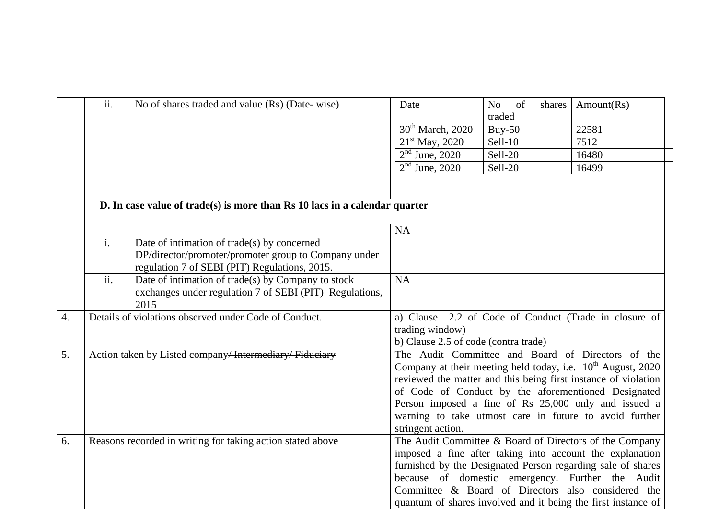|    | ii.<br>No of shares traded and value (Rs) (Date-wise)                      | Date                                 | of<br>No<br>shares | Amount(Rs)                                                              |
|----|----------------------------------------------------------------------------|--------------------------------------|--------------------|-------------------------------------------------------------------------|
|    |                                                                            |                                      | traded             |                                                                         |
|    |                                                                            | 30 <sup>th</sup> March, 2020         | $Buy-50$           | 22581                                                                   |
|    |                                                                            | $21st$ May, 2020                     | Sell-10            | 7512                                                                    |
|    |                                                                            | $2nd$ June, 2020                     | Sell-20            | 16480                                                                   |
|    |                                                                            | $2nd$ June, 2020                     | Sell-20            | 16499                                                                   |
|    |                                                                            |                                      |                    |                                                                         |
|    | D. In case value of trade(s) is more than Rs 10 lacs in a calendar quarter |                                      |                    |                                                                         |
|    |                                                                            |                                      |                    |                                                                         |
|    |                                                                            | <b>NA</b>                            |                    |                                                                         |
|    | i.<br>Date of intimation of trade(s) by concerned                          |                                      |                    |                                                                         |
|    | DP/director/promoter/promoter group to Company under                       |                                      |                    |                                                                         |
|    | regulation 7 of SEBI (PIT) Regulations, 2015.                              |                                      |                    |                                                                         |
|    | $\overline{ii}$ .<br>Date of intimation of trade(s) by Company to stock    | <b>NA</b>                            |                    |                                                                         |
|    | exchanges under regulation 7 of SEBI (PIT) Regulations,                    |                                      |                    |                                                                         |
|    | 2015                                                                       |                                      |                    |                                                                         |
| 4. | Details of violations observed under Code of Conduct.                      |                                      |                    | a) Clause 2.2 of Code of Conduct (Trade in closure of                   |
|    |                                                                            | trading window)                      |                    |                                                                         |
|    |                                                                            | b) Clause 2.5 of code (contra trade) |                    |                                                                         |
| 5. | Action taken by Listed company <del>/ Intermediary/ Fiduciary</del>        |                                      |                    | The Audit Committee and Board of Directors of the                       |
|    |                                                                            |                                      |                    | Company at their meeting held today, i.e. 10 <sup>th</sup> August, 2020 |
|    |                                                                            |                                      |                    | reviewed the matter and this being first instance of violation          |
|    |                                                                            |                                      |                    | of Code of Conduct by the aforementioned Designated                     |
|    |                                                                            |                                      |                    | Person imposed a fine of Rs 25,000 only and issued a                    |
|    |                                                                            |                                      |                    | warning to take utmost care in future to avoid further                  |
|    |                                                                            | stringent action.                    |                    |                                                                         |
| 6. | Reasons recorded in writing for taking action stated above                 |                                      |                    | The Audit Committee & Board of Directors of the Company                 |
|    |                                                                            |                                      |                    | imposed a fine after taking into account the explanation                |
|    |                                                                            |                                      |                    | furnished by the Designated Person regarding sale of shares             |
|    |                                                                            |                                      |                    | because of domestic emergency. Further the Audit                        |
|    |                                                                            |                                      |                    | Committee & Board of Directors also considered the                      |
|    |                                                                            |                                      |                    | quantum of shares involved and it being the first instance of           |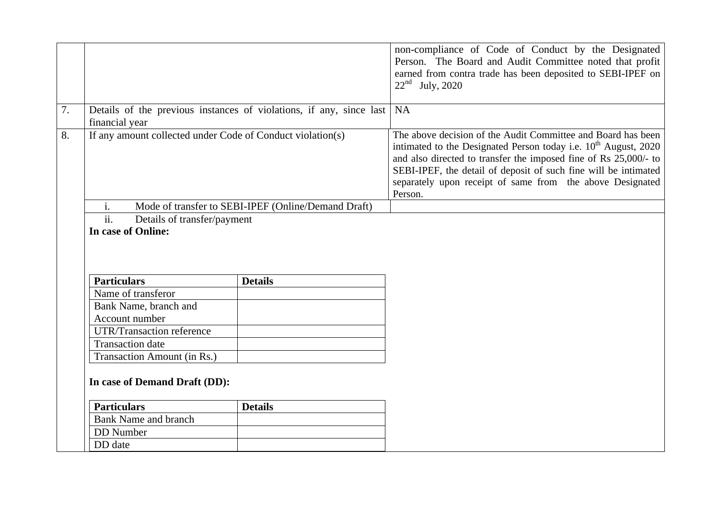|    |                                                            |                                                                        | non-compliance of Code of Conduct by the Designated<br>Person. The Board and Audit Committee noted that profit<br>earned from contra trade has been deposited to SEBI-IPEF on<br>$22^{nd}$ July, 2020                                                                                                                                               |
|----|------------------------------------------------------------|------------------------------------------------------------------------|-----------------------------------------------------------------------------------------------------------------------------------------------------------------------------------------------------------------------------------------------------------------------------------------------------------------------------------------------------|
| 7. | financial year                                             | Details of the previous instances of violations, if any, since last NA |                                                                                                                                                                                                                                                                                                                                                     |
| 8. | If any amount collected under Code of Conduct violation(s) |                                                                        | The above decision of the Audit Committee and Board has been<br>intimated to the Designated Person today i.e. $10^{th}$ August, 2020<br>and also directed to transfer the imposed fine of Rs 25,000/- to<br>SEBI-IPEF, the detail of deposit of such fine will be intimated<br>separately upon receipt of same from the above Designated<br>Person. |
|    | i.                                                         | Mode of transfer to SEBI-IPEF (Online/Demand Draft)                    |                                                                                                                                                                                                                                                                                                                                                     |
|    | $\overline{ii}$ .<br>Details of transfer/payment           |                                                                        |                                                                                                                                                                                                                                                                                                                                                     |
|    | In case of Online:                                         |                                                                        |                                                                                                                                                                                                                                                                                                                                                     |
|    |                                                            |                                                                        |                                                                                                                                                                                                                                                                                                                                                     |
|    |                                                            |                                                                        |                                                                                                                                                                                                                                                                                                                                                     |
|    |                                                            |                                                                        |                                                                                                                                                                                                                                                                                                                                                     |
|    | <b>Particulars</b>                                         | <b>Details</b>                                                         |                                                                                                                                                                                                                                                                                                                                                     |
|    | Name of transferor                                         |                                                                        |                                                                                                                                                                                                                                                                                                                                                     |
|    | Bank Name, branch and                                      |                                                                        |                                                                                                                                                                                                                                                                                                                                                     |
|    | Account number                                             |                                                                        |                                                                                                                                                                                                                                                                                                                                                     |
|    | <b>UTR/Transaction reference</b>                           |                                                                        |                                                                                                                                                                                                                                                                                                                                                     |
|    | <b>Transaction</b> date                                    |                                                                        |                                                                                                                                                                                                                                                                                                                                                     |
|    | Transaction Amount (in Rs.)                                |                                                                        |                                                                                                                                                                                                                                                                                                                                                     |
|    | In case of Demand Draft (DD):                              |                                                                        |                                                                                                                                                                                                                                                                                                                                                     |
|    | <b>Particulars</b>                                         | <b>Details</b>                                                         |                                                                                                                                                                                                                                                                                                                                                     |
|    | <b>Bank Name and branch</b>                                |                                                                        |                                                                                                                                                                                                                                                                                                                                                     |
|    | <b>DD</b> Number                                           |                                                                        |                                                                                                                                                                                                                                                                                                                                                     |
|    | DD date                                                    |                                                                        |                                                                                                                                                                                                                                                                                                                                                     |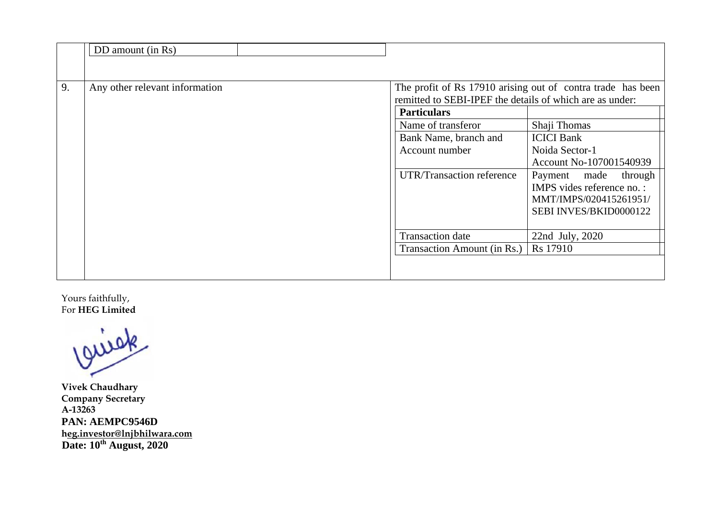|    | DD amount (in Rs)              |                                                                                                                                                                              |                                                                                                                                                                                                                                                            |
|----|--------------------------------|------------------------------------------------------------------------------------------------------------------------------------------------------------------------------|------------------------------------------------------------------------------------------------------------------------------------------------------------------------------------------------------------------------------------------------------------|
|    |                                |                                                                                                                                                                              |                                                                                                                                                                                                                                                            |
| 9. | Any other relevant information | remitted to SEBI-IPEF the details of which are as under:<br><b>Particulars</b><br>Name of transferor<br>Bank Name, branch and<br>Account number<br>UTR/Transaction reference | The profit of Rs 17910 arising out of contra trade has been<br>Shaji Thomas<br><b>ICICI</b> Bank<br>Noida Sector-1<br>Account No-107001540939<br>Payment made<br>through<br>IMPS vides reference no. :<br>MMT/IMPS/020415261951/<br>SEBI INVES/BKID0000122 |
|    |                                | <b>Transaction</b> date<br>Transaction Amount (in Rs.)                                                                                                                       | 22nd July, 2020<br>Rs 17910                                                                                                                                                                                                                                |

Y Yours faithfully, F For **HEG Limite d** 

**V Vivek Chaudhar ry C Company Secret tary A A-13263 PPAN: AEMPC9 9546D h D heg.investor@ln Date: 10th Augu njbhilwara.com ust, 2020**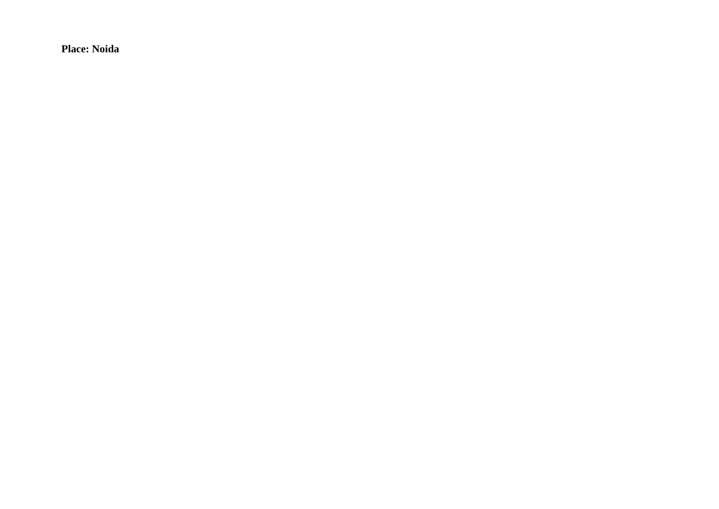**Place: Noida**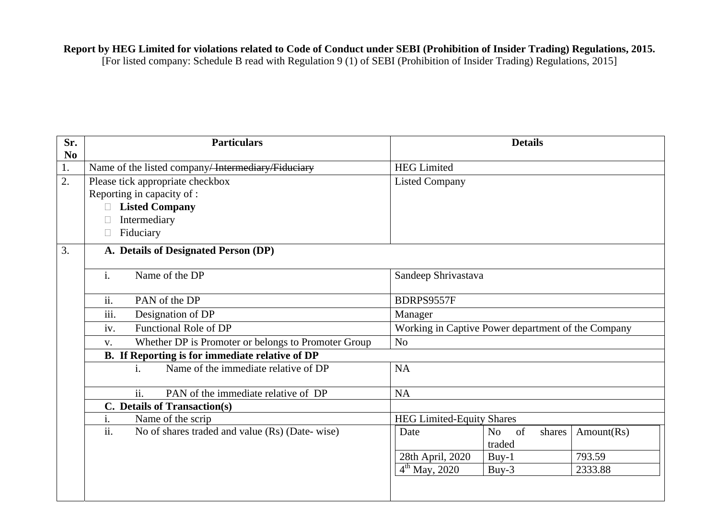### **Report by HEG Limited for violations related to Code of Conduct under SEBI (Prohibition of Insider Trading) Regulations, 2015.**

| Sr.<br>$\mathbf{N}\mathbf{0}$ | <b>Particulars</b>                                                  | <b>Details</b>                                                 |
|-------------------------------|---------------------------------------------------------------------|----------------------------------------------------------------|
| 1.                            | Name of the listed company <del>Intermediary Fiduciary</del>        | <b>HEG Limited</b>                                             |
| 2.                            | Please tick appropriate checkbox                                    | <b>Listed Company</b>                                          |
|                               | Reporting in capacity of :                                          |                                                                |
|                               | <b>Listed Company</b>                                               |                                                                |
|                               | Intermediary                                                        |                                                                |
|                               | Fiduciary                                                           |                                                                |
| 3.                            | A. Details of Designated Person (DP)                                |                                                                |
|                               | i.<br>Name of the DP                                                | Sandeep Shrivastava                                            |
|                               | ii.<br>PAN of the DP                                                | BDRPS9557F                                                     |
|                               | $\overline{\text{iii}}$ .<br>Designation of DP                      | Manager                                                        |
|                               | iv.<br>Functional Role of DP                                        | Working in Captive Power department of the Company             |
|                               | Whether DP is Promoter or belongs to Promoter Group<br>V.           | N <sub>o</sub>                                                 |
|                               | B. If Reporting is for immediate relative of DP                     |                                                                |
|                               | Name of the immediate relative of DP<br>i.                          | <b>NA</b>                                                      |
|                               | ii.<br>PAN of the immediate relative of DP                          | <b>NA</b>                                                      |
|                               | C. Details of Transaction(s)                                        |                                                                |
|                               | i.<br>Name of the scrip                                             | <b>HEG Limited-Equity Shares</b>                               |
|                               | $\overline{ii}$ .<br>No of shares traded and value (Rs) (Date-wise) | of<br>Amount(Rs)<br>Date<br>N <sub>o</sub><br>shares<br>traded |
|                               |                                                                     | 28th April, 2020<br>793.59<br>$Buy-1$                          |
|                               |                                                                     | $\overline{4^{th}}$ May, 2020<br>2333.88<br>Buy- $3$           |
|                               |                                                                     |                                                                |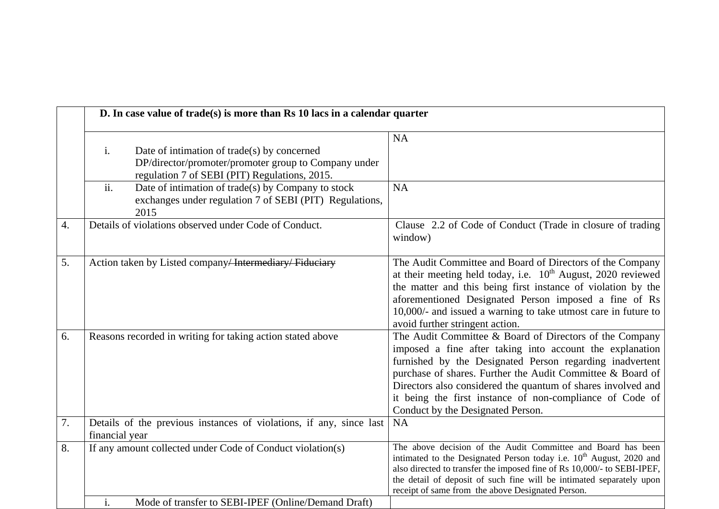|    | D. In case value of trade(s) is more than Rs 10 lacs in a calendar quarter                                                                                 |                                                                                                                                                                                                                                                                                                                                                                                                                |
|----|------------------------------------------------------------------------------------------------------------------------------------------------------------|----------------------------------------------------------------------------------------------------------------------------------------------------------------------------------------------------------------------------------------------------------------------------------------------------------------------------------------------------------------------------------------------------------------|
|    | i.<br>Date of intimation of trade(s) by concerned<br>DP/director/promoter/promoter group to Company under<br>regulation 7 of SEBI (PIT) Regulations, 2015. | <b>NA</b>                                                                                                                                                                                                                                                                                                                                                                                                      |
|    | ii.<br>Date of intimation of trade(s) by Company to stock<br>exchanges under regulation 7 of SEBI (PIT) Regulations,<br>2015                               | <b>NA</b>                                                                                                                                                                                                                                                                                                                                                                                                      |
| 4. | Details of violations observed under Code of Conduct.                                                                                                      | Clause 2.2 of Code of Conduct (Trade in closure of trading<br>window)                                                                                                                                                                                                                                                                                                                                          |
| 5. | Action taken by Listed company <del>Intermediary Fiduciary</del>                                                                                           | The Audit Committee and Board of Directors of the Company<br>at their meeting held today, i.e. $10^{th}$ August, 2020 reviewed<br>the matter and this being first instance of violation by the<br>aforementioned Designated Person imposed a fine of Rs<br>10,000/- and issued a warning to take utmost care in future to<br>avoid further stringent action.                                                   |
| 6. | Reasons recorded in writing for taking action stated above                                                                                                 | The Audit Committee & Board of Directors of the Company<br>imposed a fine after taking into account the explanation<br>furnished by the Designated Person regarding inadvertent<br>purchase of shares. Further the Audit Committee & Board of<br>Directors also considered the quantum of shares involved and<br>it being the first instance of non-compliance of Code of<br>Conduct by the Designated Person. |
| 7. | Details of the previous instances of violations, if any, since last<br>financial year                                                                      | <b>NA</b>                                                                                                                                                                                                                                                                                                                                                                                                      |
| 8. | If any amount collected under Code of Conduct violation(s)                                                                                                 | The above decision of the Audit Committee and Board has been<br>intimated to the Designated Person today i.e. 10 <sup>th</sup> August, 2020 and<br>also directed to transfer the imposed fine of Rs 10,000/- to SEBI-IPEF,<br>the detail of deposit of such fine will be intimated separately upon<br>receipt of same from the above Designated Person.                                                        |
|    | i.<br>Mode of transfer to SEBI-IPEF (Online/Demand Draft)                                                                                                  |                                                                                                                                                                                                                                                                                                                                                                                                                |